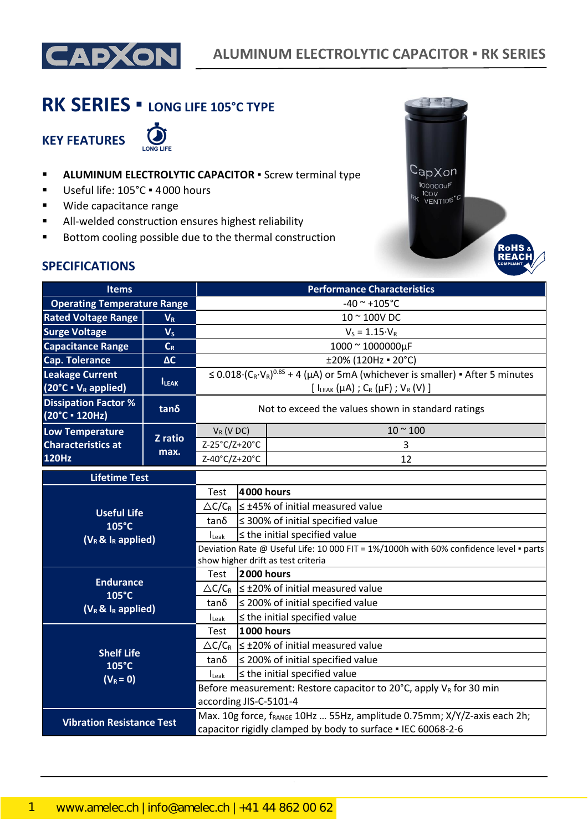

# **RK SERIES ▪ LONG LIFE 105°C TYPE**

**KEY FEATURES**



- **E** ALUMINUM ELECTROLYTIC CAPACITOR **·** Screw terminal type
- Useful life: 105°C · 4000 hours
- Wide capacitance range
- All-welded construction ensures highest reliability
- Bottom cooling possible due to the thermal construction



### **SPECIFICATIONS**

| <b>Items</b>                                                |                |                                                                                                                                                                               |                                        | <b>Performance Characteristics</b>                                                        |  |  |
|-------------------------------------------------------------|----------------|-------------------------------------------------------------------------------------------------------------------------------------------------------------------------------|----------------------------------------|-------------------------------------------------------------------------------------------|--|--|
| <b>Operating Temperature Range</b>                          |                |                                                                                                                                                                               |                                        | $-40$ ~ $+105$ °C                                                                         |  |  |
| <b>Rated Voltage Range</b>                                  | $V_R$          |                                                                                                                                                                               |                                        | 10 ~ 100V DC                                                                              |  |  |
| <b>Surge Voltage</b>                                        | V <sub>S</sub> |                                                                                                                                                                               |                                        | $V_S = 1.15 \cdot V_R$                                                                    |  |  |
| <b>Capacitance Range</b>                                    | $C_R$          |                                                                                                                                                                               |                                        | 1000 ~ 1000000µF                                                                          |  |  |
| <b>Cap. Tolerance</b>                                       | $\Delta C$     |                                                                                                                                                                               |                                        | ±20% (120Hz = 20°C)                                                                       |  |  |
| <b>Leakage Current</b><br>$(20^{\circ}C \cdot V_R$ applied) | <b>ILEAK</b>   | $\leq$ 0.018 $(C_R \cdot V_R)^{0.85}$ + 4 ( $\mu$ A) or 5mA (whichever is smaller) • After 5 minutes<br>[ $I_{LEAK}(\mu A)$ ; C <sub>R</sub> ( $\mu F$ ); V <sub>R</sub> (V)] |                                        |                                                                                           |  |  |
| <b>Dissipation Factor %</b><br>(20°C · 120Hz)               | tanδ           | Not to exceed the values shown in standard ratings                                                                                                                            |                                        |                                                                                           |  |  |
| <b>Low Temperature</b>                                      | Z ratio        | $V_R$ (V DC)                                                                                                                                                                  |                                        | $10 - 100$                                                                                |  |  |
| <b>Characteristics at</b>                                   | max.           | Z-25°C/Z+20°C                                                                                                                                                                 |                                        | 3                                                                                         |  |  |
| <b>120Hz</b>                                                |                | Z-40°C/Z+20°C                                                                                                                                                                 |                                        | 12                                                                                        |  |  |
| <b>Lifetime Test</b>                                        |                |                                                                                                                                                                               |                                        |                                                                                           |  |  |
|                                                             | Test           | 4000 hours                                                                                                                                                                    |                                        |                                                                                           |  |  |
| <b>Useful Life</b>                                          |                | $\triangle C/C_R$                                                                                                                                                             |                                        | $\leq$ ±45% of initial measured value                                                     |  |  |
| 105°C                                                       |                | $tan\delta$                                                                                                                                                                   | $\leq$ 300% of initial specified value |                                                                                           |  |  |
| $(V_R \& I_R$ applied)                                      |                | $\leq$ the initial specified value<br>$I_{\text{Leak}}$                                                                                                                       |                                        |                                                                                           |  |  |
|                                                             |                | Deviation Rate @ Useful Life: 10 000 FIT = 1%/1000h with 60% confidence level · parts<br>show higher drift as test criteria                                                   |                                        |                                                                                           |  |  |
|                                                             |                | Test                                                                                                                                                                          | 2000 hours                             |                                                                                           |  |  |
| <b>Endurance</b><br>105°C                                   |                |                                                                                                                                                                               |                                        | $\triangle C/C_R$ $\leq$ ±20% of initial measured value                                   |  |  |
| $(V_R \& I_R$ applied)                                      |                | $tan\delta$                                                                                                                                                                   |                                        | $\leq$ 200% of initial specified value                                                    |  |  |
|                                                             |                | $I_{\text{Leak}}$                                                                                                                                                             |                                        | $\leq$ the initial specified value                                                        |  |  |
|                                                             |                | Test                                                                                                                                                                          | <b>1000 hours</b>                      |                                                                                           |  |  |
| <b>Shelf Life</b>                                           |                |                                                                                                                                                                               |                                        | $\triangle C/C_R$ $\leq \pm 20\%$ of initial measured value                               |  |  |
| 105°C<br>$(V_R = 0)$                                        |                | $tan\delta$                                                                                                                                                                   |                                        | $\leq$ 200% of initial specified value                                                    |  |  |
|                                                             |                | $I_{\text{Leak}}$                                                                                                                                                             |                                        | $\leq$ the initial specified value                                                        |  |  |
|                                                             |                |                                                                                                                                                                               |                                        | Before measurement: Restore capacitor to 20 $^{\circ}$ C, apply V <sub>R</sub> for 30 min |  |  |
|                                                             |                | according JIS-C-5101-4                                                                                                                                                        |                                        |                                                                                           |  |  |
| <b>Vibration Resistance Test</b>                            |                |                                                                                                                                                                               |                                        | Max. 10g force, fRANGE 10Hz  55Hz, amplitude 0.75mm; X/Y/Z-axis each 2h;                  |  |  |
|                                                             |                | capacitor rigidly clamped by body to surface . IEC 60068-2-6                                                                                                                  |                                        |                                                                                           |  |  |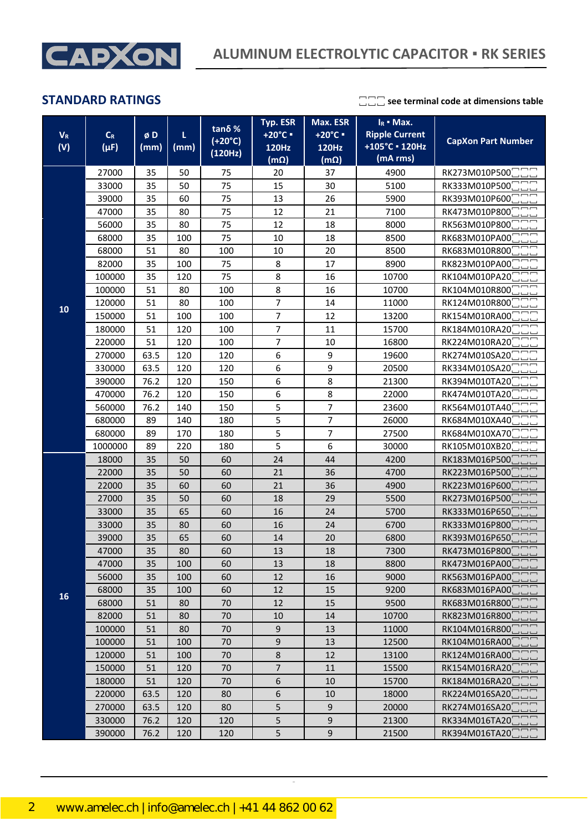

|            |           |                |      | Typ. ESR           |                        | Max. ESR<br>$I_R$ • Max. |                       |                           |  |
|------------|-----------|----------------|------|--------------------|------------------------|--------------------------|-----------------------|---------------------------|--|
| $V_R$      | $C_R$     | øD             | L    | tanδ%<br>$(+20°C)$ | +20°C ·                | +20°C =                  | <b>Ripple Current</b> |                           |  |
| (V)        | $(\mu F)$ | (mm)           | (mm) | (120Hz)            | 120Hz                  | 120Hz                    | +105°C - 120Hz        | <b>CapXon Part Number</b> |  |
|            |           |                |      |                    | $\overline{(m\Omega)}$ | $(m\Omega)$              | (mA rms)              |                           |  |
|            | 27000     | 35             | 50   | 75                 | 20                     | 37                       | 4900                  | RK273M010P500             |  |
|            | 33000     | 35             | 50   | 75                 | 15                     | 30                       | 5100                  | RK333M010P500             |  |
|            | 39000     | 35             | 60   | 75                 | 13                     | 26                       | 5900                  | RK393M010P600             |  |
|            | 47000     | 35             | 80   | 75                 | 12                     | 21                       | 7100                  | RK473M010P800             |  |
|            | 56000     | 75<br>35<br>80 |      | 12                 | 18                     | 8000                     | RK563M010P800         |                           |  |
|            | 68000     | 35             | 100  | 75                 | 10                     | 18                       | 8500                  | RK683M010PA00             |  |
|            | 68000     | 51             | 80   | 100                | 10                     | 20                       | 8500                  | RK683M010R800             |  |
|            | 82000     | 35             | 100  | 75                 | 8                      | 17                       | 8900                  | RK823M010PA00             |  |
|            | 100000    | 35             | 120  | 75                 | 8                      | 16                       | 10700                 | RK104M010PA20             |  |
|            | 100000    | 51             | 80   | 100                | 8                      | 16                       | 10700                 | RK104M010R800             |  |
| 10         | 120000    | 51             | 80   | 100                | 7                      | 14                       | 11000                 | RK124M010R800             |  |
|            | 150000    | 51             | 100  | 100                | $\overline{7}$         | 12                       | 13200                 | RK154M010RA00             |  |
|            | 180000    | 51             | 120  | 100                | $\overline{7}$         | 11                       | 15700                 | RK184M010RA20             |  |
|            | 220000    | 51             | 120  | 100                | 7                      | 10                       | 16800                 | RK224M010RA20             |  |
|            | 270000    | 63.5           | 120  | 120                | 6                      | 9                        | 19600                 | RK274M010SA20             |  |
|            | 330000    | 63.5           | 120  | 120                | 6                      | 9                        | 20500                 | RK334M010SA20             |  |
|            | 390000    | 76.2           | 120  | 150                | 6                      | 8                        | 21300                 | RK394M010TA20             |  |
|            | 470000    | 76.2           | 120  | 150                | 6                      | 8                        | 22000                 | RK474M010TA20             |  |
|            | 560000    | 76.2           | 140  | 150                | 5                      | 7                        | 23600                 | RK564M010TA40             |  |
|            | 680000    | 89             | 140  | 180                | 5                      | 7                        | 26000                 | RK684M010XA40             |  |
|            | 680000    | 89             | 170  | 180                | 5                      | 7                        | 27500                 | RK684M010XA70             |  |
|            | 1000000   | 89             | 220  | 180                | 5                      | 6                        | 30000                 | RK105M010XB20             |  |
|            | 18000     | 35             | 50   | 60                 | 24                     | 44                       | 4200                  | RK183M016P500             |  |
|            | 22000     | 35             | 50   | 60                 | 21                     | 36                       | 4700                  | RK223M016P500             |  |
|            | 22000     | 35             | 60   | 60                 | 21                     | 36                       | 4900                  | RK223M016P600             |  |
|            | 27000     | 35             | 50   | 60                 | 18                     | 29                       | 5500                  | RK273M016P500             |  |
|            | 33000     | 35             | 65   | 60                 | 16                     | 24                       | 5700                  | RK333M016P650             |  |
|            | 33000     | 35             | 80   | 60                 | 16                     | 24                       | 6700                  | RK333M016P800             |  |
|            | 39000     | 35             | 65   | 60                 | 14                     | 20                       | 6800                  | RK393M016P650             |  |
|            | 47000     | 35             | 80   | 60                 | 13                     | 18                       | 7300                  | RK473M016P800             |  |
|            | 47000     | 35             | 100  | 60                 | 13                     | 18                       | 8800                  | RK473M016PA00             |  |
|            | 56000     | 35             | 100  | 60                 | 12                     | 16                       | 9000                  | RK563M016PA00             |  |
|            | 68000     | 35             | 100  | 60                 | 12                     | 15                       | 9200                  | RK683M016PA00             |  |
| ${\bf 16}$ | 68000     | 51             | 80   | 70                 | 12                     | 15                       | 9500                  | RK683M016R800             |  |
|            | 82000     | 51             | 80   | 70                 | 10                     | 14                       | 10700                 | RK823M016R800             |  |
|            | 100000    | 51             | 80   | 70                 | $\boldsymbol{9}$       | 13                       | 11000                 | RK104M016R800             |  |
|            | 100000    | 51             | 100  | 70                 | $\boldsymbol{9}$       | 13                       | 12500                 | RK104M016RA00             |  |
|            | 120000    | 51             | 100  | 70                 | $\bf 8$                | 12                       | 13100                 | RK124M016RA00             |  |
|            | 150000    | 51             | 120  | 70                 | $\overline{7}$         | 11                       | 15500                 | RK154M016RA20             |  |
|            | 180000    | 51             | 120  | 70                 | 6                      | 10                       | 15700                 | RK184M016RA20             |  |
|            | 220000    | 63.5           | 120  | 80                 | 6                      | 10                       | 18000                 | RK224M016SA20             |  |
|            | 270000    | 63.5           | 120  | 80                 | 5                      | 9                        | 20000                 | RK274M016SA20             |  |
|            | 330000    | 76.2           | 120  | 120                | 5                      | 9                        | 21300                 | RK334M016TA20             |  |
|            | 390000    | 76.2           | 120  | 120                | 5                      | 9                        | 21500                 | RK394M016TA20             |  |

CapXon\_Ver. 002 – 09/09/2020 2 Document Number: RK series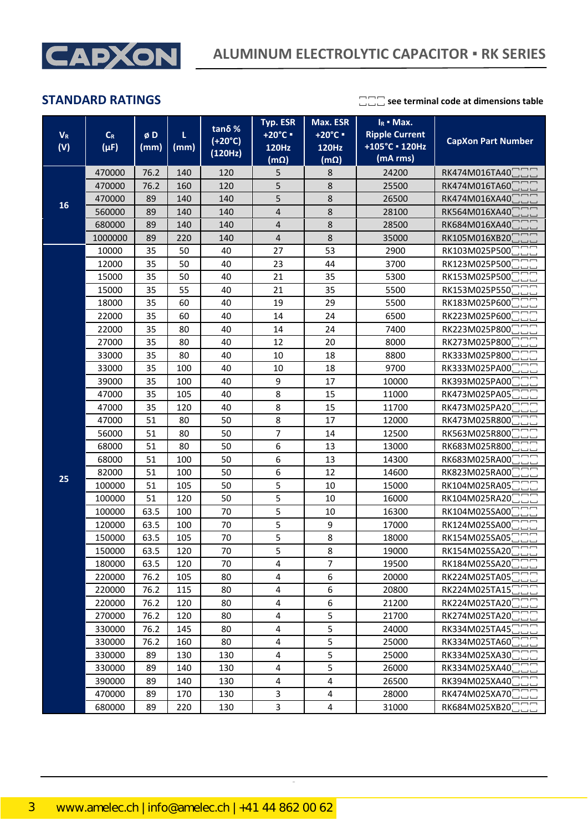

| $V_R$<br>(V) | $C_R$<br>$(\mu F)$ | øD<br>(mm)                               | L<br>(mm) | $tan δ$ %<br>$(+20°C)$<br>(120Hz) | Max. ESR<br>$I_R$ • Max.<br>Typ. ESR<br><b>Ripple Current</b><br>+20°C =<br>$+20^{\circ}$ C =<br>+105°C - 120Hz<br><b>120Hz</b><br>120Hz<br>(mA rms)<br>$(m\Omega)$<br>$(m\Omega)$ |                         | <b>CapXon Part Number</b> |               |
|--------------|--------------------|------------------------------------------|-----------|-----------------------------------|------------------------------------------------------------------------------------------------------------------------------------------------------------------------------------|-------------------------|---------------------------|---------------|
|              | 470000             | 76.2                                     | 140       | 120                               | 5<br>8                                                                                                                                                                             |                         | 24200                     | RK474M016TA40 |
|              | 470000             | 76.2                                     | 160       | 120                               | 5                                                                                                                                                                                  | $\bf 8$                 | 25500                     | RK474M016TA60 |
|              | 470000             | 89                                       | 140       | 140                               | 5                                                                                                                                                                                  | 8                       | 26500                     | RK474M016XA40 |
| 16           | 560000             | 89                                       | 140       | 140                               | $\overline{\mathbf{4}}$                                                                                                                                                            | 8                       | 28100                     | RK564M016XA40 |
|              | 680000             | 89                                       | 140       | 140                               | 4                                                                                                                                                                                  | 8                       | 28500                     | RK684M016XA40 |
|              | 1000000            | 89                                       | 220       | 140                               | $\overline{4}$                                                                                                                                                                     | 8                       | 35000                     | RK105M016XB20 |
|              | 10000              | 35                                       | 50        | 40                                | 27                                                                                                                                                                                 | 53                      | 2900                      | RK103M025P500 |
|              | 12000              | 35                                       | 50        | 40                                | 23                                                                                                                                                                                 | 44                      | 3700                      | RK123M025P500 |
|              | 15000              | 35                                       | 50        | 40                                | 21                                                                                                                                                                                 | 35                      | 5300                      | RK153M025P500 |
|              | 15000              | 35                                       | 55        | 40                                | 21                                                                                                                                                                                 | 35                      | 5500                      | RK153M025P550 |
|              | 18000              | 35                                       | 60        | 40                                | 19                                                                                                                                                                                 | 29                      | 5500                      | RK183M025P600 |
|              | 22000              | 35                                       | 60        | 40                                | 14                                                                                                                                                                                 | 24                      | 6500                      | RK223M025P600 |
|              | 22000              | 35                                       | 80        | 40                                | 14                                                                                                                                                                                 | 24                      | 7400                      | RK223M025P800 |
|              | 27000              | 35                                       | 80        | 40                                | 12                                                                                                                                                                                 | 20                      | 8000                      | RK273M025P800 |
|              | 33000              | 35                                       | 80        | 40                                | 10                                                                                                                                                                                 | 18                      | 8800                      | RK333M025P800 |
|              | 33000              | 35                                       | 100       | 40                                | 10                                                                                                                                                                                 | 9700<br>18              |                           | RK333M025PA00 |
|              | 39000              | 35                                       | 100       | 40                                | 9                                                                                                                                                                                  |                         | 10000                     | RK393M025PA00 |
|              | 47000              | 35                                       | 105       | 40                                | 8                                                                                                                                                                                  | 15                      | 11000                     | RK473M025PA05 |
|              | 47000              | 35                                       | 120       | 40                                | 8                                                                                                                                                                                  | 15                      | 11700                     | RK473M025PA20 |
|              | 47000              | 51                                       | 80        | 50                                | 8                                                                                                                                                                                  | 17                      | 12000                     | RK473M025R800 |
|              | 56000              | 51                                       | 80        | 50                                | $\overline{\mathcal{I}}$                                                                                                                                                           | 14                      | 12500                     | RK563M025R800 |
|              | 68000              | 51                                       | 80        | 50                                | 6                                                                                                                                                                                  | 13                      | 13000                     | RK683M025R800 |
|              | 68000              | 51                                       | 100       | 50                                | 6                                                                                                                                                                                  | 13                      | 14300                     | RK683M025RA00 |
|              | 82000              | 51                                       | 100       | 50                                | 6                                                                                                                                                                                  | 12                      | 14600                     | RK823M025RA00 |
| 25           | 100000             | 51                                       | 105       | 50                                | 5                                                                                                                                                                                  | 10                      | 15000                     | RK104M025RA05 |
|              | 100000             | 51                                       | 120       | 50                                | 5                                                                                                                                                                                  | 10                      | 16000                     | RK104M025RA20 |
|              | 100000             | 63.5                                     | 100       | 70                                | 5                                                                                                                                                                                  | 10                      | 16300                     | RK104M025SA00 |
|              | 120000             | 63.5                                     | 100       | 70                                | 5                                                                                                                                                                                  | 9                       | 17000                     | RK124M025SA00 |
|              | 150000             | 63.5                                     | 105       | 70                                | 5                                                                                                                                                                                  | 8                       | 18000                     | RK154M025SA05 |
|              | 150000             | 63.5                                     | 120       | 70                                | 5                                                                                                                                                                                  | 8                       | 19000                     | RK154M025SA20 |
|              | 180000             | 63.5                                     | 120       | 70                                | 4                                                                                                                                                                                  | $\overline{7}$          | 19500                     | RK184M025SA20 |
|              | 220000             | 76.2                                     | 105       | 80                                | 4                                                                                                                                                                                  | 6                       | 20000                     | RK224M025TA05 |
|              | 220000             | 76.2                                     | 115       | 80                                | $\overline{\mathbf{4}}$<br>6<br>20800                                                                                                                                              |                         |                           | RK224M025TA15 |
|              | 220000             | 76.2                                     | 120       | 80                                | 4                                                                                                                                                                                  | 6                       | 21200                     | RK224M025TA20 |
|              | 270000             | $\overline{4}$<br>5<br>76.2<br>120<br>80 |           | 21700                             | RK274M025TA20                                                                                                                                                                      |                         |                           |               |
|              | 330000             | 76.2                                     | 145       | 80                                | $\overline{4}$                                                                                                                                                                     | 5                       | 24000                     | RK334M025TA45 |
|              | 330000             | 76.2                                     | 160       | 80                                | 4                                                                                                                                                                                  | 5                       | 25000                     | RK334M025TA60 |
|              | 330000             | 89                                       | 130       | 130                               | $\overline{\mathbf{4}}$                                                                                                                                                            | 5                       | 25000                     | RK334M025XA30 |
|              | 330000             | 5<br>89<br>140<br>130<br>4<br>26000      |           | RK334M025XA40                     |                                                                                                                                                                                    |                         |                           |               |
|              | 390000             | 89                                       | 140       | 130                               | $\pmb{4}$<br>4<br>26500                                                                                                                                                            |                         | RK394M025XA40             |               |
|              | 470000             | 89                                       | 170       | 130                               | 3                                                                                                                                                                                  | $\overline{\mathbf{4}}$ | 28000                     | RK474M025XA70 |
|              | 680000             | 89                                       | 220       | 130                               | 3                                                                                                                                                                                  | 4                       | 31000                     | RK684M025XB20 |

CapXon\_Ver. 002 – 09/09/2020 3 Document Number: RK series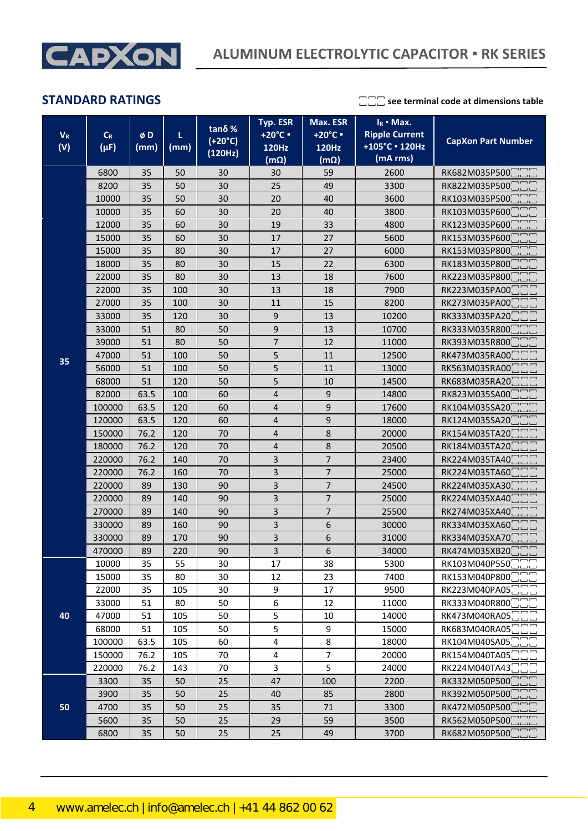

| $V_R$<br>(V) | $C_R$<br>$(\mu F)$               | øD<br>(mm) | L<br>(mm)            | tanδ%<br>$(+20°C)$<br>(120Hz) | Typ. ESR<br>+20°C =<br>120Hz | Max. ESR<br>$I_R$ • Max.<br><b>Ripple Current</b><br>+20°C =<br>+105°C · 120Hz<br><b>120Hz</b><br>(mA rms)<br>$(m\Omega)$<br>$(m\Omega)$ |       | <b>CapXon Part Number</b> |  |
|--------------|----------------------------------|------------|----------------------|-------------------------------|------------------------------|------------------------------------------------------------------------------------------------------------------------------------------|-------|---------------------------|--|
|              | 6800                             | 35         | 50                   | 30                            | 30                           | 59                                                                                                                                       | 2600  | RK682M035P500             |  |
|              | 8200                             | 35         | 50                   | 30                            | 25                           | 49                                                                                                                                       | 3300  | RK822M035P500             |  |
|              | 10000                            | 35         | 50                   | 30                            | 20                           | 40                                                                                                                                       | 3600  | RK103M035P500             |  |
|              | 10000                            | 35         | 60                   | 30                            | 20                           | 40                                                                                                                                       | 3800  | RK103M035P600             |  |
|              | 12000                            | 35         | 60                   | 30                            | 19                           | 33                                                                                                                                       | 4800  | RK123M035P600             |  |
|              | 15000                            | 35         | 60                   | 30                            | 17                           | 27                                                                                                                                       | 5600  | RK153M035P600             |  |
|              | 15000                            | 35         | 80                   | 30                            | 17                           | 27                                                                                                                                       | 6000  | RK153M035P800             |  |
|              | 18000                            | 35         | 80                   | 30                            | 15                           | 22                                                                                                                                       | 6300  | RK183M035P800             |  |
|              | 22000                            | 35         | 80                   | 30                            | 13                           | 18                                                                                                                                       | 7600  | RK223M035P800             |  |
|              | 22000                            | 35         | 100                  | 30                            | 13                           | 18                                                                                                                                       | 7900  | RK223M035PA00             |  |
|              | 27000                            | 35         | 100                  | 30                            | 11                           | 15                                                                                                                                       | 8200  | RK273M035PA00             |  |
|              | 33000                            | 35         | 120                  | 30                            | 9                            | 13                                                                                                                                       | 10200 | RK333M035PA20             |  |
|              | 33000                            | 51         | 80                   | 50                            | 9                            | 13                                                                                                                                       | 10700 | RK333M035R800             |  |
|              | 39000                            | 51         | 80                   | 50                            | $\overline{7}$               | 12                                                                                                                                       | 11000 | RK393M035R800             |  |
| 35           | 47000                            | 51         | 100                  | 50                            | 5                            | 11                                                                                                                                       | 12500 | RK473M035RA00             |  |
|              | 56000                            | 51         | 100                  | 50                            | 5                            | 11                                                                                                                                       | 13000 | RK563M035RA00             |  |
|              | 68000                            | 51         | 120                  | 50                            | 5                            | 10                                                                                                                                       | 14500 | RK683M035RA20             |  |
|              | 82000                            | 63.5       | 100                  | 60                            | 4                            | $\mathsf g$                                                                                                                              | 14800 | RK823M035SA00             |  |
|              | 100000                           | 63.5       | 120                  | 60                            | 4                            | 9                                                                                                                                        | 17600 | RK104M035SA20             |  |
|              | 120000                           | 63.5       | 120                  | 60                            | 4                            | 9                                                                                                                                        | 18000 | RK124M035SA20             |  |
|              | 150000                           | 76.2       | 120                  | 4<br>70                       |                              | 8                                                                                                                                        | 20000 | RK154M035TA20             |  |
|              | 180000                           | 76.2       | 120                  | 70                            | 4                            |                                                                                                                                          | 20500 | RK184M035TA20             |  |
|              | 220000                           | 76.2       | 140                  | 70                            | 3                            | $\overline{7}$                                                                                                                           | 23400 | RK224M035TA40             |  |
|              | 220000                           | 76.2       | 160                  | 70                            | 3                            | $\overline{7}$                                                                                                                           | 25000 | RK224M035TA60             |  |
|              | 220000                           | 89         | 130                  | 90                            | 3                            | $\overline{7}$                                                                                                                           | 24500 | RK224M035XA30             |  |
|              | 220000                           | 89         | 140                  | 90                            | 3                            | $\overline{7}$                                                                                                                           | 25000 | RK224M035XA40             |  |
|              | 270000                           | 89         | 140                  | 90                            | 3                            | $\overline{7}$                                                                                                                           | 25500 | RK274M035XA40             |  |
|              | 330000                           | 89         | 160                  | 90                            | 3                            | 6                                                                                                                                        | 30000 | RK334M035XA60             |  |
|              | 330000                           | 89         | 170                  | 90                            | 3                            | 6                                                                                                                                        | 31000 | RK334M035XA70             |  |
|              | 470000                           | 89         | 220                  | 90                            | 3                            | 6                                                                                                                                        | 34000 | RK474M035XB20             |  |
|              | 10000                            | 35         | 55                   | 30                            | 17                           | 38                                                                                                                                       | 5300  | RK103M040P550             |  |
|              | 15000                            | 35         | 80                   | 30                            | 12                           | 23                                                                                                                                       | 7400  | RK153M040P800             |  |
|              | 22000                            | 35         | 105                  | 30                            | 9                            | 17                                                                                                                                       | 9500  | RK223M040PA05             |  |
|              | 33000                            | 51         | 80                   | 50                            | 6                            | 12                                                                                                                                       | 11000 | RK333M040R800             |  |
| 40           | 47000                            | 51         | 105                  | 50                            | 5                            | 10                                                                                                                                       | 14000 | RK473M040RA05             |  |
|              | 68000                            | 51         | 105                  | 50                            | 5                            | 9                                                                                                                                        | 15000 | RK683M040RA05             |  |
|              | 100000                           | 63.5       | 105                  | 60                            | 4                            | 8                                                                                                                                        | 18000 | RK104M040SA05             |  |
|              | 4<br>150000<br>76.2<br>105<br>70 |            |                      | $\overline{7}$                | 20000                        | RK154M040TA05                                                                                                                            |       |                           |  |
|              | 220000                           | 76.2       | 143                  | 70                            | 3                            | 5                                                                                                                                        | 24000 | RK224M040TA43             |  |
|              | 3300                             | 35         | 50                   | 25                            | 47                           | 100                                                                                                                                      | 2200  | RK332M050P500             |  |
|              | 3900                             | 35         | 50                   | 25                            | 40                           | 85                                                                                                                                       | 2800  | RK392M050P500             |  |
| 50           | 4700                             | 35         | 50<br>25<br>35<br>71 |                               | 3300                         | RK472M050P500                                                                                                                            |       |                           |  |
|              | 5600                             | 35         | 50                   | 25                            | 29                           | 59                                                                                                                                       | 3500  | RK562M050P500             |  |
|              | 6800                             | 35         | 50                   | 25                            | 25                           | 49                                                                                                                                       | 3700  | RK682M050P500             |  |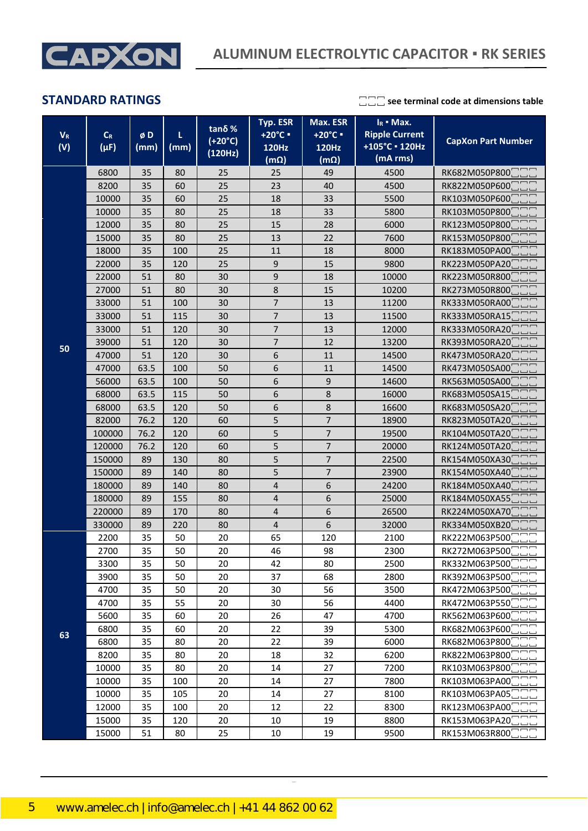

| $V_R$ | $\mathsf{C}_{\mathsf{R}}$<br>$(\mu F)$ | øD<br>(mm) |      | tanδ%<br>$(+20°C)$ | Max. ESR<br>Typ. ESR<br>+20°C =<br>+20°C ·<br>120Hz<br><b>120Hz</b> |                | $I_R$ • Max.<br><b>Ripple Current</b><br>+105°C · 120Hz | <b>CapXon Part Number</b> |  |
|-------|----------------------------------------|------------|------|--------------------|---------------------------------------------------------------------|----------------|---------------------------------------------------------|---------------------------|--|
| (V)   |                                        |            | (mm) | (120Hz)            | $(m\Omega)$                                                         | $(m\Omega)$    | (mA rms)                                                |                           |  |
|       | 6800                                   | 35         | 80   | 25                 | 25                                                                  | 49             | 4500                                                    | RK682M050P800             |  |
|       | 8200                                   | 35         | 60   | 25                 | 23                                                                  | 40             | 4500                                                    | RK822M050P600             |  |
|       | 10000                                  | 35         | 60   | 25                 | 18                                                                  | 33             | 5500                                                    | RK103M050P600             |  |
|       | 10000                                  | 35         | 80   | 25                 | 18                                                                  | 33             | 5800                                                    | RK103M050P800             |  |
|       | 12000                                  | 35         | 80   | 25                 | 15                                                                  | 28             | 6000                                                    | RK123M050P800             |  |
|       | 15000                                  | 35         | 80   | 25                 | 13                                                                  | 22             | 7600                                                    | RK153M050P800             |  |
|       | 18000                                  | 35         | 100  | 25                 | 11                                                                  | 18             | 8000                                                    | RK183M050PA00             |  |
|       | 22000                                  | 35         | 120  | 25                 | 9                                                                   | 15             | 9800                                                    | RK223M050PA20             |  |
|       | 22000                                  | 51         | 80   | 30                 | 9                                                                   | 18             | 10000                                                   | RK223M050R800             |  |
|       | 27000                                  | 51         | 80   | 30                 | 8                                                                   | 15             | 10200                                                   | RK273M050R800             |  |
|       | 33000                                  | 51         | 100  | 30                 | $\overline{7}$                                                      | 13             | 11200                                                   | RK333M050RA00             |  |
|       | 33000                                  | 51         | 115  | 30                 | $\overline{7}$                                                      | 13             | 11500                                                   | RK333M050RA15             |  |
|       | 33000                                  | 51         | 120  | 30                 | $\overline{7}$                                                      | 13             | 12000                                                   | RK333M050RA20             |  |
| 50    | 39000                                  | 51         | 120  | 30                 | $\overline{7}$                                                      | 12             | 13200                                                   | RK393M050RA20             |  |
|       | 47000                                  | 51         | 120  | 30                 | 6                                                                   | 11             | 14500                                                   | RK473M050RA20             |  |
|       | 47000                                  | 63.5       | 100  | 50                 | 6                                                                   | 11             | 14500                                                   | RK473M050SA00             |  |
|       | 56000                                  | 63.5       | 100  | 50                 | 6                                                                   | 9              | 14600                                                   | RK563M050SA00             |  |
|       | 68000                                  | 63.5       | 115  | 50                 | 6                                                                   | 8              | 16000                                                   | RK683M050SA15             |  |
|       | 68000                                  | 63.5       | 120  | 50                 | 6                                                                   | 8              | 16600                                                   | RK683M050SA20             |  |
|       | 82000                                  | 76.2       | 120  | 60                 | 5                                                                   | $\overline{7}$ | 18900                                                   | RK823M050TA20             |  |
|       | 100000                                 | 76.2       | 120  | 60                 | 5                                                                   | $\overline{7}$ | 19500                                                   | RK104M050TA20             |  |
|       | 120000                                 | 76.2       | 120  | 60                 | $\overline{\mathbf{5}}$                                             | $\overline{7}$ | 20000                                                   | RK124M050TA20             |  |
|       | 150000                                 | 89         | 130  | 80                 | 5                                                                   | $\overline{7}$ | 22500                                                   | RK154M050XA30             |  |
|       | 150000                                 | 89         | 140  | 80                 | 5                                                                   | $\overline{7}$ | 23900                                                   | RK154M050XA40             |  |
|       | 180000                                 | 89         | 140  | 80                 | $\overline{\mathbf{4}}$                                             | 6              |                                                         | 24200<br>RK184M050XA40    |  |
|       | 180000                                 | 89         | 155  | 80                 | $\overline{\mathbf{4}}$                                             | 6              | 25000                                                   | RK184M050XA55             |  |
|       | 220000                                 | 89         | 170  | 80                 | $\overline{\mathbf{4}}$                                             | 6              | 26500                                                   | RK224M050XA70             |  |
|       | 330000                                 | 89         | 220  | 80                 | $\overline{\mathbf{4}}$                                             | 6              | 32000                                                   | RK334M050XB20             |  |
|       | 2200                                   | 35         | 50   | 20                 | 65                                                                  | 120            | 2100                                                    | RK222M063P500             |  |
|       | 2700                                   | 35         | 50   | 20                 | 46                                                                  | 98             | 2300                                                    | RK272M063P500             |  |
|       | 3300                                   | 35         | 50   | 20                 | 42                                                                  | 80             | 2500                                                    | RK332M063P500             |  |
|       | 3900                                   | 35         | 50   | 20                 | 37                                                                  | 68             | 2800                                                    | RK392M063P500             |  |
|       | 4700                                   | 35         | 50   | 20                 | 30                                                                  | 56             | 3500                                                    | RK472M063P500             |  |
|       | 4700                                   | 35         | 55   | 20                 | 30                                                                  | 56             | 4400                                                    | RK472M063P550             |  |
|       | 5600                                   | 35         | 60   | 20                 | 26                                                                  | 47             | 4700                                                    | RK562M063P600             |  |
| 63    | 6800                                   | 35         | 60   | 20                 | 22                                                                  | 39             | 5300                                                    | RK682M063P600             |  |
|       | 6800                                   | 35         | 80   | 20                 | 22                                                                  | 39             | 6000                                                    | RK682M063P800             |  |
|       | 8200                                   | 35         | 80   | 20                 | 18                                                                  | 32             | 6200                                                    | RK822M063P800             |  |
|       | 10000                                  | 35         | 80   | 20                 | 14                                                                  | 27             | 7200                                                    | RK103M063P800             |  |
|       | 10000                                  | 35         | 100  | 20                 | 14                                                                  | 27             | 7800                                                    | RK103M063PA00             |  |
|       | 10000                                  | 35         | 105  | 20                 | 14                                                                  | 27             | 8100                                                    | RK103M063PA05             |  |
|       | 12000                                  | 35         | 100  | 20                 | 12                                                                  | 22             | 8300                                                    | RK123M063PA00             |  |
|       | 15000                                  | 35         | 120  | 20                 | 10                                                                  | 19             | 8800                                                    | RK153M063PA20             |  |
|       | 15000                                  | 51         | 80   | 25                 | 10                                                                  | 19             | 9500                                                    | RK153M063R800□□□          |  |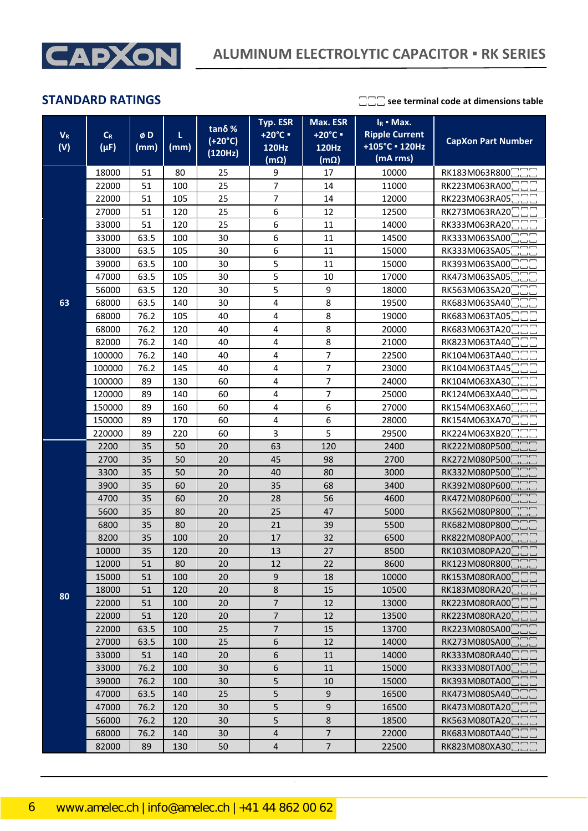

|       |                            |      |      | tanδ%     | Typ. ESR                | Max. ESR       | $I_R$ • Max.          |                            |
|-------|----------------------------|------|------|-----------|-------------------------|----------------|-----------------------|----------------------------|
| $V_R$ | $C_R$                      | øD   | L    | $(+20°C)$ | +20°C =                 | +20°C =        | <b>Ripple Current</b> | <b>CapXon Part Number</b>  |
| (V)   | $(\mu F)$                  | (mm) | (mm) | (120Hz)   | <b>120Hz</b>            | 120Hz          | +105°C · 120Hz        |                            |
|       |                            |      |      |           | $(m\Omega)$             | $(m\Omega)$    | (mA rms)              |                            |
|       | 18000                      | 51   | 80   | 25        | 9                       | 17             | 10000                 | RK183M063R800              |
|       | 22000                      | 51   | 100  | 25        | $\overline{7}$          | 14             | 11000                 | RK223M063RA00              |
|       | 22000                      | 51   | 105  | 25        | $\overline{7}$          | 14             | 12000                 | RK223M063RA05              |
|       | 27000                      | 51   | 120  | 25        | 6                       | 12             | 12500                 | RK273M063RA20              |
|       | 33000                      | 51   | 120  | 25        | 6                       | 11             | 14000                 | RK333M063RA20              |
|       | 33000                      | 63.5 | 100  | 30        | 6                       | 11             | 14500                 | RK333M063SA00              |
|       | 33000                      | 63.5 | 105  | 30        | 6                       | 11             | 15000                 | RK333M063SA05              |
|       | 39000                      | 63.5 | 100  | 30        | 5                       | 11             | 15000                 | RK393M063SA00              |
|       | 47000                      | 63.5 | 105  | 30        | 5                       | 10             | 17000                 | RK473M063SA05              |
|       | 56000                      | 63.5 | 120  | 30        | 5                       | 9              | 18000                 | RK563M063SA20              |
| 63    | 68000                      | 63.5 | 140  | 30        | 4                       | 8              | 19500                 | RK683M063SA40              |
|       | 68000                      | 76.2 | 105  | 40        | 4                       | 8              | 19000                 | RK683M063TA05              |
|       | 68000                      | 76.2 | 120  | 40        | 4                       | 8              | 20000                 | RK683M063TA20              |
|       | 82000                      | 76.2 | 140  | 40        | 4                       | 8              | 21000                 | RK823M063TA40              |
|       | 100000                     | 76.2 | 140  | 40        | 4                       | $\overline{7}$ | 22500                 | RK104M063TA40              |
|       | 100000                     | 76.2 | 145  | 40        | 4                       | 7              | 23000                 | RK104M063TA45              |
|       | 100000                     | 89   | 130  | 60        | 4                       | $\overline{7}$ | 24000                 | RK104M063XA30              |
|       | 120000                     | 89   | 140  | 60        | $\pmb{4}$               | 7              | 25000                 | RK124M063XA40              |
|       | 150000                     | 89   | 160  | 60        | 4                       | 6              | 27000                 | RK154M063XA60              |
|       | 150000                     | 89   | 170  | 60        | 4                       | 6              | 28000                 | RK154M063XA70              |
|       | 220000                     | 89   | 220  | 60        | 3                       | 5              | 29500                 | RK224M063XB20              |
|       | 2200                       | 35   | 50   | 20        | 63                      | 120            | 2400                  | RK222M080P500              |
|       | 2700                       | 35   | 50   | 20        | 45                      | 98             | 2700                  | RK272M080P500              |
|       | 3300                       | 35   | 50   | 20        | 40                      | 80             | 3000                  | RK332M080P500              |
|       | 3900                       | 35   | 60   | 20        | 35                      | 68             | 3400                  | RK392M080P600              |
|       | 4700                       | 35   | 60   | 20        | 28                      | 56             | 4600                  | RK472M080P600              |
|       | 5600                       | 35   | 80   | 20        | 25                      | 47             | 5000                  | RK562M080P800              |
|       | 6800                       | 35   | 80   | 20        | 21                      | 39             | 5500                  | RK682M080P800              |
|       | 8200                       | 35   | 100  | 20        | 17                      | 32             | 6500                  | RK822M080PA00              |
|       | 10000                      | 35   | 120  | 20        | 13                      | 27             | 8500                  | RK103M080PA20              |
|       | 12000                      | 51   | 80   | 20        | 12                      | 22             | 8600                  | RK123M080R800 <sup>-</sup> |
|       | 15000                      | 51   | 100  | 20        | 9                       | 18             | 10000                 | RK153M080RA00              |
| 80    | 18000                      | 51   | 120  | 20        | $\,$ 8 $\,$             | 15             | 10500                 | RK183M080RA20              |
|       | 22000                      | 51   | 100  | 20        | $\overline{7}$          | 12             | 13000                 | RK223M080RA00              |
|       | 22000                      | 51   | 120  | 20        | $\overline{7}$          | 12             | 13500                 | RK223M080RA20              |
|       | 22000                      | 63.5 | 100  | 25        | $\overline{7}$          | 15             | 13700                 | RK223M080SA00              |
|       | 27000                      | 63.5 | 100  | 25        | $\boldsymbol{6}$        | 12             | 14000                 | RK273M080SA00              |
|       | 33000                      | 51   | 140  | 20        | 6                       | 11             | 14000                 | RK333M080RA40              |
|       | 33000                      | 76.2 | 100  | 30        | 6                       | 11             | 15000                 | RK333M080TA00              |
|       | 39000                      | 76.2 | 100  | 30        | 5                       | 10             | 15000                 | RK393M080TA00              |
|       | 47000                      | 63.5 | 140  | 25        | 5                       | 9              | 16500                 | RK473M080SA40              |
|       | 47000<br>76.2<br>120<br>30 |      | 5    | 9         | 16500                   | RK473M080TA20  |                       |                            |
|       | 56000                      | 76.2 | 120  | 30        | 5                       | 8              | 18500                 | RK563M080TA20              |
|       | 68000                      | 76.2 | 140  | 30        | $\sqrt{4}$              | $\overline{7}$ | 22000                 | RK683M080TA40              |
|       | 82000                      | 89   | 130  | 50        | $\overline{\mathbf{4}}$ | $\overline{7}$ | 22500                 | RK823M080XA30              |

CapXon\_Ver. 002 – 09/09/2020 6 Document Number: RK series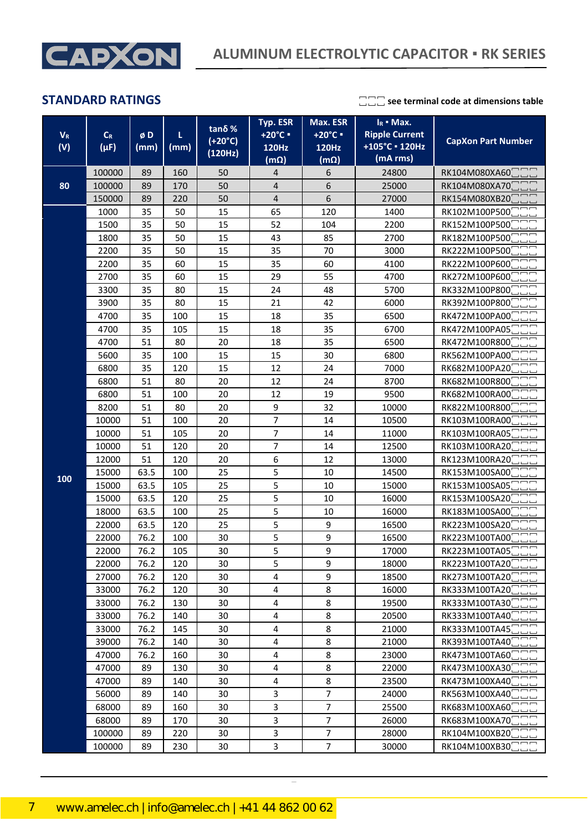

| $V_R$ | $C_R$     | øD           | L                                                    | tanδ%                                       | Typ. ESR<br>+20°C =                     | Max. ESR<br>+20°C = | $I_R$ • Max.<br><b>Ripple Current</b> |                             |  |
|-------|-----------|--------------|------------------------------------------------------|---------------------------------------------|-----------------------------------------|---------------------|---------------------------------------|-----------------------------|--|
| (V)   | $(\mu F)$ | (mm)<br>(mm) |                                                      | $(+20°C)$<br>(120Hz)                        | 120Hz                                   | 120Hz               | +105°C · 120Hz                        | <b>CapXon Part Number</b>   |  |
|       |           |              |                                                      |                                             | $(m\Omega)$                             | $(m\Omega)$         | (mA rms)                              |                             |  |
|       | 100000    | 89           | 160                                                  | 50                                          | 4                                       | 6                   | 24800                                 | RK104M080XA60               |  |
| 80    | 100000    | 89           | 170                                                  | 50                                          | $\pmb{4}$                               | 6                   | 25000                                 | RK104M080XA70               |  |
|       | 150000    | 89           | 220                                                  | 50                                          | $\overline{\mathbf{4}}$                 | 6                   | 27000                                 | RK154M080XB20               |  |
|       | 1000      | 35           | 50                                                   | 15                                          | 65                                      | 120                 | 1400                                  | RK102M100P500               |  |
|       | 1500      | 35           | 50                                                   | 15                                          | 52                                      | 104                 | 2200                                  | RK152M100P500               |  |
|       | 1800      | 35           | 50                                                   | 15                                          | 43                                      | 85                  | 2700                                  | RK182M100P500               |  |
|       | 2200      | 35           | 50                                                   | 15                                          | 35                                      | 70                  | 3000                                  | RK222M100P500               |  |
|       | 2200      | 35           | 60                                                   | 15                                          | 35                                      | 60                  | 4100                                  | RK222M100P600               |  |
|       | 2700      | 35           | 60                                                   | 15                                          | 29                                      | 55                  | 4700                                  | RK272M100P600               |  |
|       | 3300      | 35           | 80                                                   | 15                                          | 24                                      | 48                  | 5700                                  | RK332M100P800               |  |
|       | 3900      | 35           | 80                                                   | 15                                          | 21                                      | 42                  | 6000                                  | RK392M100P800               |  |
|       | 4700      | 35           | 100                                                  | 15                                          | 18                                      | 35                  | 6500                                  | RK472M100PA00               |  |
|       | 4700      | 35           | 105                                                  | 15                                          | 18                                      | 35                  | 6700                                  | RK472M100PA05               |  |
|       | 4700      | 51           | 80                                                   | 20                                          | 18                                      | 35                  | 6500                                  | RK472M100R800               |  |
|       | 5600      | 35           | 100                                                  | 15                                          | 15                                      | 30                  | 6800                                  | RK562M100PA00               |  |
|       | 6800      | 35           | 120                                                  | 15                                          | 12                                      | 24                  | 7000                                  | RK682M100PA20               |  |
|       | 6800      | 51           | 80                                                   | 20                                          | 12                                      | 24                  | 8700                                  | RK682M100R800               |  |
|       | 6800      | 51           | 100                                                  | 20                                          | 12                                      | 19                  | 9500                                  | RK682M100RA00               |  |
|       | 8200      | 51           | 80                                                   | 20                                          | 9                                       | 32                  | 10000                                 | RK822M100R800               |  |
|       | 10000     | 51           | 100                                                  | 20                                          | $\overline{7}$                          | 14                  | 10500                                 | RK103M100RA00               |  |
|       | 10000     | 51           | 105                                                  | 20                                          | $\overline{7}$                          | 14                  | 11000                                 | RK103M100RA05               |  |
|       | 10000     | 51           | 120                                                  | 20                                          | $\overline{\mathcal{I}}$<br>12500<br>14 |                     |                                       | RK103M100RA20               |  |
|       | 12000     | 51           | 120                                                  | 20                                          | 6                                       | 12                  | 13000                                 | RK123M100RA20               |  |
| 100   | 15000     | 63.5         | 100                                                  | 25                                          | 5                                       | 10                  | 14500                                 | RK153M100SA00               |  |
|       | 15000     | 63.5         | 105                                                  | 25                                          | 5                                       | 10                  | 15000                                 | RK153M100SA05               |  |
|       | 15000     | 63.5         | 120                                                  | 25                                          | 5                                       | 10                  | 16000                                 | RK153M100SA20               |  |
|       | 18000     | 63.5         | 100                                                  | 25                                          | 5                                       | 10                  | 16000                                 | RK183M100SA00               |  |
|       | 22000     | 63.5         | 120                                                  | 25                                          | 5                                       | 9                   | 16500                                 | RK223M100SA20               |  |
|       | 22000     | 76.2         | 100                                                  | 30                                          | 5                                       | 9                   | 16500                                 | RK223M100TA00               |  |
|       | 22000     | 76.2         | 105                                                  | 30                                          | 5                                       | 9                   | 17000                                 | RK223M100TA05               |  |
|       | 22000     | 76.2         | 120                                                  | 30                                          | 5                                       | 9                   | 18000                                 | RK223M100TA20 <sup>-1</sup> |  |
|       | 27000     | 76.2         | 120                                                  | 30                                          | $\pmb{4}$                               | 9                   | 18500                                 | RK273M100TA20               |  |
|       | 33000     | 76.2         | 120                                                  | 30                                          | $\pmb{4}$                               | 8                   | 16000                                 | RK333M100TA20 <sup>-1</sup> |  |
|       | 33000     | 76.2         | 130                                                  | 30                                          | 4                                       | 8                   | 19500                                 | RK333M100TA30               |  |
|       | 33000     | 76.2         | 140                                                  | 30                                          | 8<br>4<br>20500                         |                     | RK333M100TA40                         |                             |  |
|       | 33000     | 76.2         | 145                                                  | 30                                          | 8<br>$\pmb{4}$<br>21000                 |                     |                                       | RK333M100TA45               |  |
|       | 39000     | 76.2         | 140                                                  | 30                                          | 8<br>4                                  |                     | 21000                                 | RK393M100TA40               |  |
|       | 47000     | 76.2         | 160                                                  | 30                                          | $\pmb{4}$                               | 8                   | 23000                                 | RK473M100TA60               |  |
|       | 47000     | 89           | 130                                                  | 30                                          | 4                                       | 8                   | 22000                                 | RK473M100XA30               |  |
|       | 47000     | 89           | 140                                                  | 30                                          | $\pmb{4}$                               | 8                   | 23500                                 | RK473M100XA40               |  |
|       | 56000     | 89           | 140                                                  | $\overline{\mathbf{3}}$<br>7<br>24000<br>30 |                                         | RK563M100XA40       |                                       |                             |  |
|       | 68000     | 89           | $\mathbf{3}$<br>$\overline{7}$<br>25500<br>160<br>30 |                                             | RK683M100XA60                           |                     |                                       |                             |  |
|       | 68000     | 89           | 170                                                  | 30                                          | $\mathsf 3$<br>$\overline{7}$<br>26000  |                     | RK683M100XA70                         |                             |  |
|       | 100000    | 89           | 220                                                  | 30                                          | 3                                       | $\overline{7}$      | 28000                                 | RK104M100XB20               |  |
|       | 100000    | 89           | 230                                                  | 30                                          | 3                                       | 7                   | 30000                                 | RK104M100XB30               |  |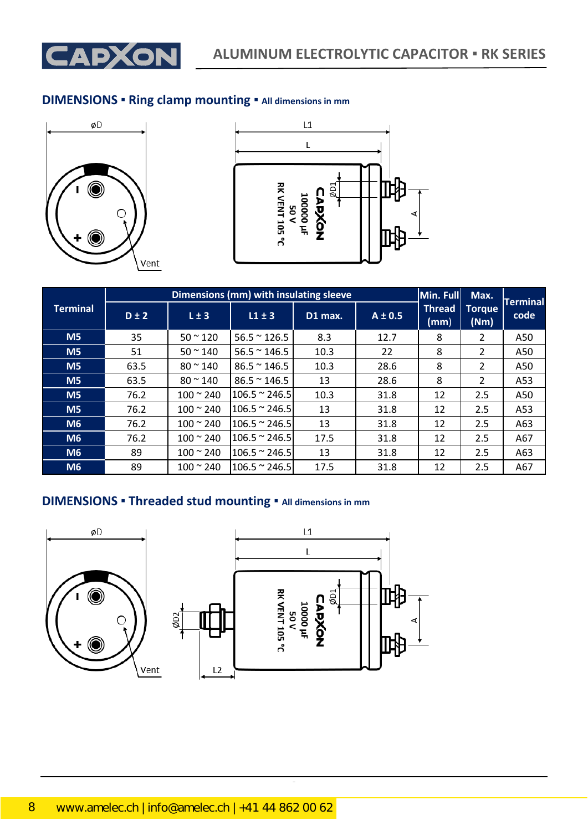

### **DIMENSIONS ▪ Ring clamp mounting ▪ All dimensions in mm**





|                 |           |                        | Dimensions (mm) with insulating sleeve |         |             | Min. Full             | Max.                  | <b>Terminal</b> |
|-----------------|-----------|------------------------|----------------------------------------|---------|-------------|-----------------------|-----------------------|-----------------|
| <b>Terminal</b> | $D \pm 2$ | L±3                    | $L1 \pm 3$                             | D1 max. | $A \pm 0.5$ | <b>Thread</b><br>(mm) | <b>Torque</b><br>(Nm) | code            |
| M <sub>5</sub>  | 35        | $50 - 120$             | $56.5 \approx 126.5$                   | 8.3     | 12.7        | 8                     | 2                     | A50             |
| M <sub>5</sub>  | 51        | $50 - 140$             | $56.5 \approx 146.5$                   | 10.3    | 22          | 8                     | 2                     | A50             |
| M <sub>5</sub>  | 63.5      | $80 \, \degree \, 140$ | $86.5 \approx 146.5$                   | 10.3    | 28.6        | 8                     | 2                     | A50             |
| M <sub>5</sub>  | 63.5      | $80 - 140$             | $86.5 \approx 146.5$                   | 13      | 28.6        | 8                     | 2                     | A53             |
| M <sub>5</sub>  | 76.2      | $100 - 240$            | $106.5 \approx 246.5$                  | 10.3    | 31.8        | 12                    | 2.5                   | A50             |
| M <sub>5</sub>  | 76.2      | $100 - 240$            | $106.5 \approx 246.5$                  | 13      | 31.8        | 12                    | 2.5                   | A53             |
| M6              | 76.2      | $100 \approx 240$      | $106.5 \approx 246.5$                  | 13      | 31.8        | 12                    | 2.5                   | A63             |
| M6              | 76.2      | $100 \approx 240$      | $106.5 \approx 246.5$                  | 17.5    | 31.8        | 12                    | 2.5                   | A67             |
| M6              | 89        | $100 - 240$            | $106.5 \approx 246.5$                  | 13      | 31.8        | 12                    | 2.5                   | A63             |
| M <sub>6</sub>  | 89        | $100 \div 240$         | $106.5 \approx 246.5$                  | 17.5    | 31.8        | 12                    | 2.5                   | A67             |

CapXon\_Ver. 002 – 09/09/2020 8 Document Number: RK series

### **DIMENSIONS ▪ Threaded stud mounting ▪ All dimensions in mm**

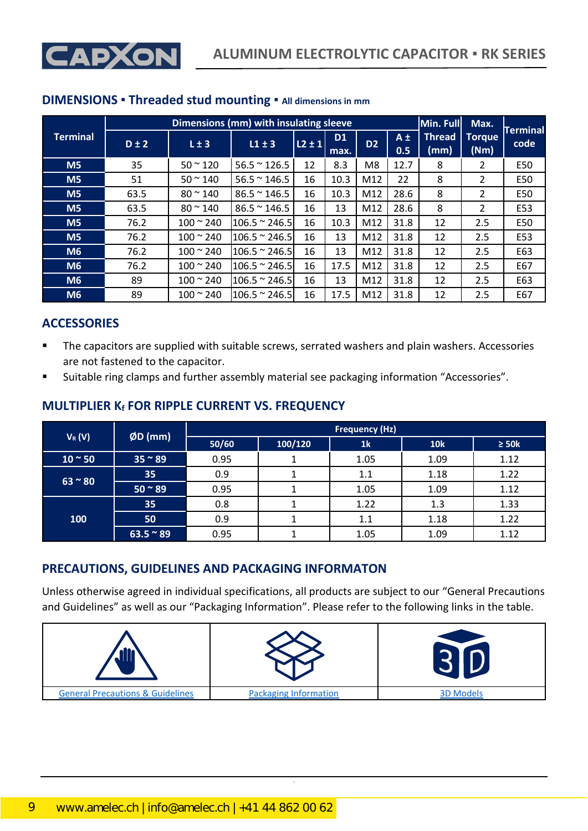

|                 |           |                   | Dimensions (mm) with insulating sleeve |              |                        |                |                | Min. Full             | Max.                  | <b>Terminal</b> |
|-----------------|-----------|-------------------|----------------------------------------|--------------|------------------------|----------------|----------------|-----------------------|-----------------------|-----------------|
| <b>Terminal</b> | $D \pm 2$ | $L \pm 3$         | $L1 \pm 3$                             | $ 12 \pm 1 $ | D <sub>1</sub><br>max. | D <sub>2</sub> | $A \pm$<br>0.5 | <b>Thread</b><br>(mm) | <b>Torque</b><br>(Nm) | code            |
| M <sub>5</sub>  | 35        | $50 - 120$        | $56.5 \approx 126.5$                   | 12           | 8.3                    | M8             | 12.7           | 8                     | $\overline{2}$        | E50             |
| M <sub>5</sub>  | 51        | $50 \approx 140$  | $56.5 \approx 146.5$                   | 16           | 10.3                   | M12            | 22             | 8                     | $\mathcal{P}$         | E50             |
| M <sub>5</sub>  | 63.5      | $80 \approx 140$  | $86.5 \approx 146.5$                   | 16           | 10.3                   | M12            | 28.6           | 8                     | $\mathcal{P}$         | E50             |
| M <sub>5</sub>  | 63.5      | $80 \approx 140$  | $86.5 \approx 146.5$                   | 16           | 13                     | M12            | 28.6           | 8                     | $\mathcal{P}$         | E53             |
| M <sub>5</sub>  | 76.2      | $100 \approx 240$ | $106.5 \approx 246.5$                  | 16           | 10.3                   | M12            | 31.8           | 12                    | 2.5                   | E50             |
| M <sub>5</sub>  | 76.2      | $100 - 240$       | $106.5 \approx 246.5$                  | 16           | 13                     | M12            | 31.8           | 12                    | 2.5                   | E53             |
| <b>M6</b>       | 76.2      | $100 \approx 240$ | $106.5 \approx 246.5$                  | 16           | 13                     | M12            | 31.8           | 12                    | 2.5                   | E63             |
| <b>M6</b>       | 76.2      | $100 \approx 240$ | $106.5 \approx 246.5$                  | 16           | 17.5                   | M12            | 31.8           | 12                    | 2.5                   | E67             |
| M <sub>6</sub>  | 89        | $100 \approx 240$ | $106.5 \approx 246.5$                  | 16           | 13                     | M12            | 31.8           | 12                    | 2.5                   | E63             |
| <b>M6</b>       | 89        | $100 - 240$       | $106.5 \approx 246.5$                  | 16           | 17.5                   | M12            | 31.8           | 12                    | 2.5                   | E67             |

### **DIMENSIONS ▪ Threaded stud mounting ▪ All dimensions in mm**

### **ACCESSORIES**

- The capacitors are supplied with suitable screws, serrated washers and plain washers. Accessories are not fastened to the capacitor.
- Suitable ring clamps and further assembly material see packaging information "Accessories".

#### **V**<sub>R</sub> (V) *ØD* **(mm) <b>Figuency** (Hz) *Frequency* (Hz) *Frequency* (Hz) **50/60 100/120 1k 10k ≥ 50k 10 ~ 50 | 35 ~ 89 0.95 1 1.05 1.09 1.12 63 ~ 80 35** 0.9 1 1 1.1 1.18 1.22 **50 ~ 89** 0.95 1 1.05 1.09 1.12 **100 35** 0.8 1 1.22 1.3 1.33 **50** 0.9 1 1 1.1 1.18 1.22 **63.5 ~ 89** 0.95 1 1 1.05 1.09 1.12

## **MULTIPLIER K<sup>f</sup> FOR RIPPLE CURRENT VS. FREQUENCY**

## **PRECAUTIONS, GUIDELINES AND PACKAGING INFORMATON**

Unless otherwise agreed in individual specifications, all products are subject to our "General Precautions and Guidelines" as well as our "Packaging Information". Please refer to the following links in the table.

| ، و و ـ                                     |                              |                  |
|---------------------------------------------|------------------------------|------------------|
| <b>General Precautions &amp; Guidelines</b> | <b>Packaging Information</b> | <b>3D Models</b> |

CapXon\_Ver. 002 – 09/09/2020 9 Document Number: RK series